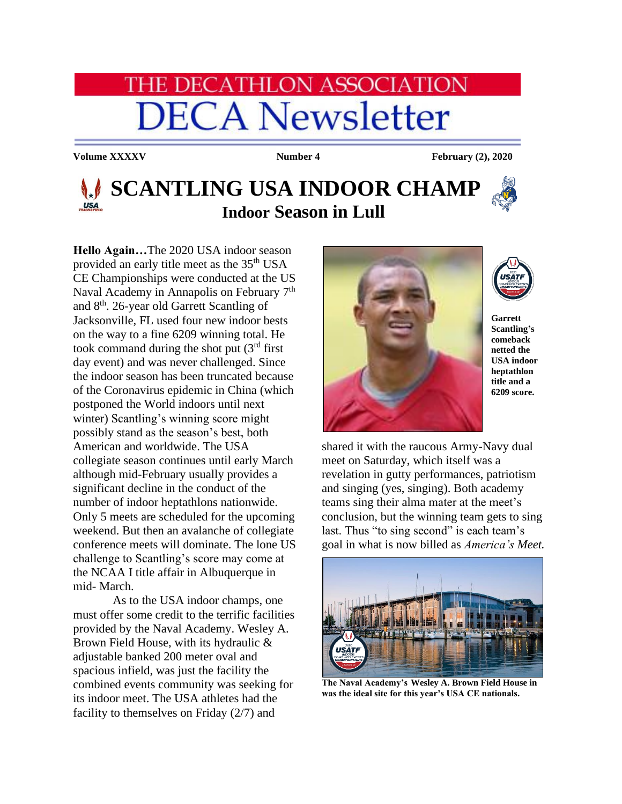# **HE DECATHLON ASSOCIATION DECA Newsletter**

**Volume XXXXV Number 4 February** (2), 2020

# **SCANTLING USA INDOOR CHAMP Indoor Season in Lull**

**Hello Again…**The 2020 USA indoor season provided an early title meet as the 35th USA CE Championships were conducted at the US Naval Academy in Annapolis on February 7<sup>th</sup> and 8th. 26-year old Garrett Scantling of Jacksonville, FL used four new indoor bests on the way to a fine 6209 winning total. He took command during the shot put  $(3<sup>rd</sup>$  first day event) and was never challenged. Since the indoor season has been truncated because of the Coronavirus epidemic in China (which postponed the World indoors until next winter) Scantling's winning score might possibly stand as the season's best, both American and worldwide. The USA collegiate season continues until early March although mid-February usually provides a significant decline in the conduct of the number of indoor heptathlons nationwide. Only 5 meets are scheduled for the upcoming weekend. But then an avalanche of collegiate conference meets will dominate. The lone US challenge to Scantling's score may come at the NCAA I title affair in Albuquerque in mid- March.

As to the USA indoor champs, one must offer some credit to the terrific facilities provided by the Naval Academy. Wesley A. Brown Field House, with its hydraulic & adjustable banked 200 meter oval and spacious infield, was just the facility the combined events community was seeking for its indoor meet. The USA athletes had the facility to themselves on Friday (2/7) and



**Garrett Scantling's comeback netted the USA indoor heptathlon title and a** 

**6209 score.**

shared it with the raucous Army-Navy dual meet on Saturday, which itself was a revelation in gutty performances, patriotism and singing (yes, singing). Both academy teams sing their alma mater at the meet's conclusion, but the winning team gets to sing last. Thus "to sing second" is each team's goal in what is now billed as *America's Meet.* 



**The Naval Academy's Wesley A. Brown Field House in was the ideal site for this year's USA CE nationals.**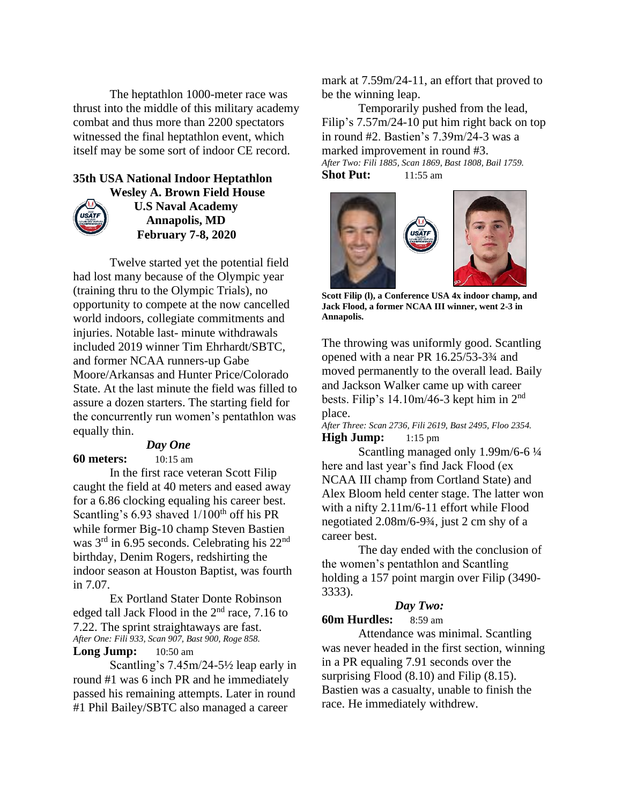The heptathlon 1000-meter race was thrust into the middle of this military academy combat and thus more than 2200 spectators witnessed the final heptathlon event, which itself may be some sort of indoor CE record.

## **35th USA National Indoor Heptathlon Wesley A. Brown Field House**



 **U.S Naval Academy Annapolis, MD February 7-8, 2020**

Twelve started yet the potential field had lost many because of the Olympic year (training thru to the Olympic Trials), no opportunity to compete at the now cancelled world indoors, collegiate commitments and injuries. Notable last- minute withdrawals included 2019 winner Tim Ehrhardt/SBTC, and former NCAA runners-up Gabe Moore/Arkansas and Hunter Price/Colorado State. At the last minute the field was filled to assure a dozen starters. The starting field for the concurrently run women's pentathlon was equally thin.

#### *Day One*

**60 meters:** 10:15 am

In the first race veteran Scott Filip caught the field at 40 meters and eased away for a 6.86 clocking equaling his career best. Scantling's  $6.93$  shaved  $1/100<sup>th</sup>$  off his PR while former Big-10 champ Steven Bastien was 3rd in 6.95 seconds. Celebrating his 22nd birthday, Denim Rogers, redshirting the indoor season at Houston Baptist, was fourth in 7.07.

Ex Portland Stater Donte Robinson edged tall Jack Flood in the  $2<sup>nd</sup>$  race, 7.16 to 7.22. The sprint straightaways are fast. *After One: Fili 933, Scan 907, Bast 900, Roge 858.*

## **Long Jump:** 10:50 am

Scantling's 7.45m/24-5½ leap early in round #1 was 6 inch PR and he immediately passed his remaining attempts. Later in round #1 Phil Bailey/SBTC also managed a career

mark at 7.59m/24-11, an effort that proved to be the winning leap.

Temporarily pushed from the lead, Filip's 7.57m/24-10 put him right back on top in round #2. Bastien's 7.39m/24-3 was a marked improvement in round #3. *After Two: Fili 1885, Scan 1869, Bast 1808, Bail 1759.* **Shot Put:** 11:55 am



**Scott Filip (l), a Conference USA 4x indoor champ, and Jack Flood, a former NCAA III winner, went 2-3 in Annapolis.**

The throwing was uniformly good. Scantling opened with a near PR 16.25/53-3¾ and moved permanently to the overall lead. Baily and Jackson Walker came up with career bests. Filip's  $14.10m/46-3$  kept him in  $2<sup>nd</sup>$ place.

*After Three: Scan 2736, Fili 2619, Bast 2495, Floo 2354.* **High Jump:** 1:15 pm

Scantling managed only 1.99m/6-6 ¼ here and last year's find Jack Flood (ex NCAA III champ from Cortland State) and Alex Bloom held center stage. The latter won with a nifty 2.11m/6-11 effort while Flood negotiated 2.08m/6-9¾, just 2 cm shy of a career best.

The day ended with the conclusion of the women's pentathlon and Scantling holding a 157 point margin over Filip (3490- 3333).

#### *Day Two:*

#### **60m Hurdles:** 8:59 am

Attendance was minimal. Scantling was never headed in the first section, winning in a PR equaling 7.91 seconds over the surprising Flood (8.10) and Filip (8.15). Bastien was a casualty, unable to finish the race. He immediately withdrew.